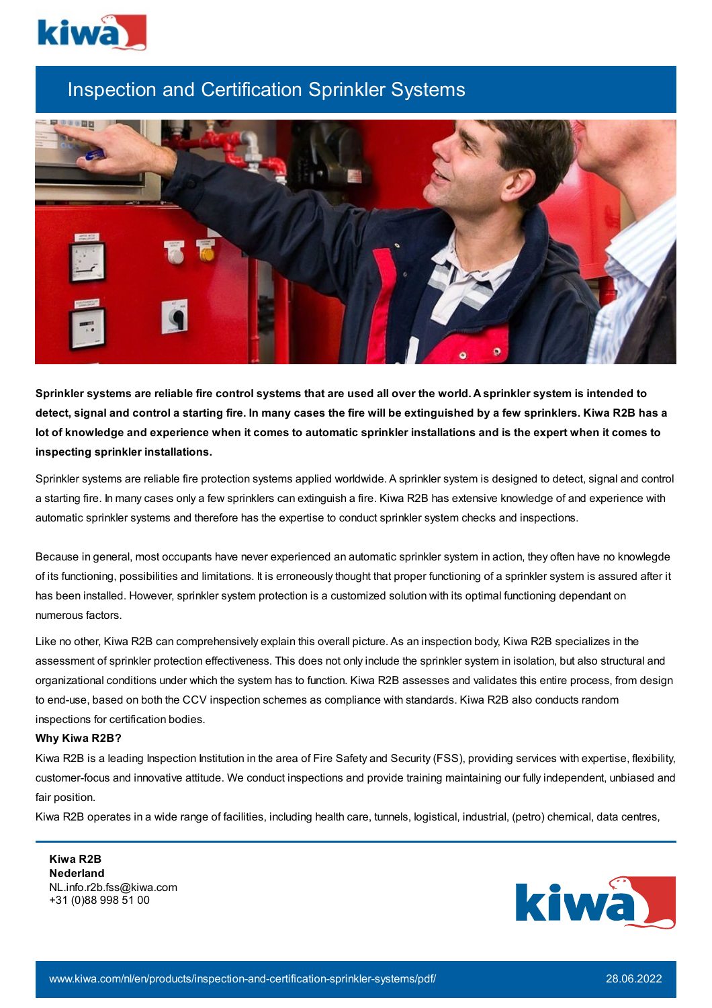

## Inspection and Certification Sprinkler Systems



Sprinkler systems are reliable fire control systems that are used all over the world. A sprinkler system is intended to detect, signal and control a starting fire. In many cases the fire will be extinguished by a few sprinklers. Kiwa R2B has a lot of knowledge and experience when it comes to automatic sprinkler installations and is the expert when it comes to **inspecting sprinkler installations.**

Sprinkler systems are reliable fire protection systems applied worldwide. A sprinkler system is designed to detect, signal and control a starting fire. In many cases only a few sprinklers can extinguish a fire. Kiwa R2B has extensive knowledge of and experience with automatic sprinkler systems and therefore has the expertise to conduct sprinkler system checks and inspections.

Because in general, most occupants have never experienced an automatic sprinkler system in action, they often have no knowlegde of its functioning, possibilities and limitations. It is erroneously thought that proper functioning of a sprinkler system is assured after it has been installed. However, sprinkler system protection is a customized solution with its optimal functioning dependant on numerous factors.

Like no other, Kiwa R2B can comprehensively explain this overall picture. As an inspection body, Kiwa R2B specializes in the assessment of sprinkler protection effectiveness. This does not only include the sprinkler system in isolation, but also structural and organizational conditions under which the system has to function. Kiwa R2B assesses and validates this entire process, from design to end-use, based on both the CCV inspection schemes as compliance with standards. Kiwa R2B also conducts random inspections for certification bodies.

## **Why Kiwa R2B?**

Kiwa R2B is a leading Inspection Institution in the area of Fire Safety and Security (FSS), providing services with expertise, flexibility, customer-focus and innovative attitude. We conduct inspections and provide training maintaining our fully independent, unbiased and fair position.

Kiwa R2B operates in a wide range of facilities, including health care, tunnels, logistical, industrial, (petro) chemical, data centres,

**Kiwa R2B Nederland** NL.info.r2b.fss@kiwa.com +31 (0)88 998 51 00